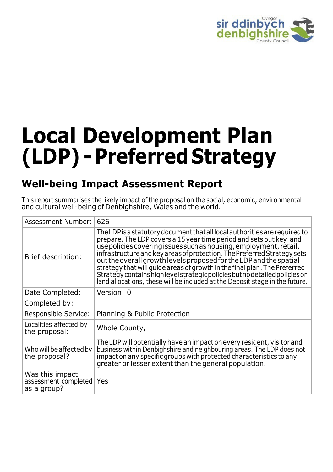

# **Local Development Plan (LDP) - Preferred Strategy**

# **Well-being Impact Assessment Report**

This report summarises the likely impact of the proposal on the social, economic, environmental and cultural well-being of Denbighshire, Wales and the world.

| Assessment Number:                                     | 626                                                                                                                                                                                                                                                                                                                                                                                                                                                                                                                                                                                                                 |
|--------------------------------------------------------|---------------------------------------------------------------------------------------------------------------------------------------------------------------------------------------------------------------------------------------------------------------------------------------------------------------------------------------------------------------------------------------------------------------------------------------------------------------------------------------------------------------------------------------------------------------------------------------------------------------------|
| Brief description:                                     | The LDP is a statutory document that all local authorities are required to<br>prepare. The LDP covers a 15 year time period and sets out key land<br>use policies covering issues such as housing, employment, retail,<br>infrastructure and key areas of protection. The Preferred Strategy sets<br>out the overall growth levels proposed for the LDP and the spatial<br>strategy that will quide areas of growth in the final plan. The Preferred<br>Strategy contains high level strategic policies but no detailed policies or<br>land allocations, these will be included at the Deposit stage in the future. |
| Date Completed:                                        | Version: 0                                                                                                                                                                                                                                                                                                                                                                                                                                                                                                                                                                                                          |
| Completed by:                                          |                                                                                                                                                                                                                                                                                                                                                                                                                                                                                                                                                                                                                     |
| Responsible Service:                                   | Planning & Public Protection                                                                                                                                                                                                                                                                                                                                                                                                                                                                                                                                                                                        |
| Localities affected by<br>the proposal:                | Whole County,                                                                                                                                                                                                                                                                                                                                                                                                                                                                                                                                                                                                       |
| Who will be affected by<br>the proposal?               | The LDP will potentially have an impact on every resident, visitor and<br>business within Denbighshire and neighbouring areas. The LDP does not<br>impact on any specific groups with protected characteristics to any<br>greater or lesser extent than the general population.                                                                                                                                                                                                                                                                                                                                     |
| Was this impact<br>assessment completed<br>as a group? | Yes                                                                                                                                                                                                                                                                                                                                                                                                                                                                                                                                                                                                                 |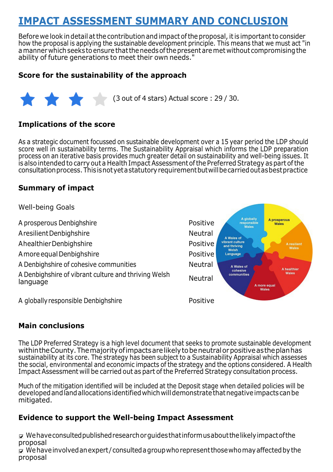# **IMPACT ASSESSMENT SUMMARY AND CONCLUSION**

Before we look in detail at the contribution and impact of the proposal, it is important to consider how the proposal is applying the sustainable development principle. This means that we must act "in a manner which seeks to ensure that the needs of the present are met without compromising the ability of future generations to meet their own needs."

#### **Score for the sustainability of the approach**



#### **Implications of the score**

As a strategic document focussed on sustainable development over a 15 year period the LDP should score well in sustainability terms. The Sustainability Appraisal which informs the LDP preparation process on an iterative basis provides much greater detail on sustainability and well-being issues. It is also intended to carry out a Health Impact Assessment of the Preferred Strategy as part of the consultationprocess.Thisis not yet a statutoryrequirementbutwillbecarriedoutasbestpractice

#### **Summary of impact**

Well-being Goals A globally A prosperous A prosperous Denbighshire **Positive** Positive responsible<br>Wales Wales A resilient Denbighshire Neutral A Wales of vibrant culture<br>and thriving A healthier Denbighshire **Positive** Positive **A** resilient Welsh A more equal Denbighshire **Positive** Positive Language A Denbighshire of cohesive communities Neutral A Wales of A healthier cohesive Wales communities A Denbighshire of vibrant culture and thriving Welsh language Neutral A more equal Wale A globally responsible Denbighshire Positive

#### **Main conclusions**

The LDP Preferred Strategy is a high level document that seeks to promote sustainable development withintheCounty.Themajorityofimpactsarelikelyto beneutralorpositiveastheplanhas sustainability at its core. The strategy has been subject to a Sustainability Appraisal which assesses the social, environmental and economic impacts of the strategy and the options considered. A Health Impact Assessment will be carried out as part of the Preferred Strategy consultation process.

Much of the mitigation identified will be included at the Deposit stage when detailed policies will be developedand land allocationsidentifiedwhichwilldemonstratethatnegativeimpactscanbe mitigated.

#### **Evidence to support the Well-being Impact Assessment**

 $\overline{v}$  We have consulted published research or quides that informusabout the likely impact of the proposal  $\nabla$  We have involved an expert/consulted a group who represent those who may affected by the proposal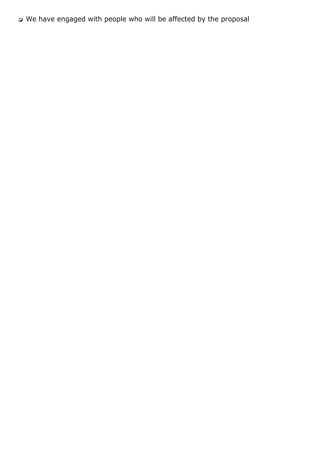$\triangledown$  We have engaged with people who will be affected by the proposal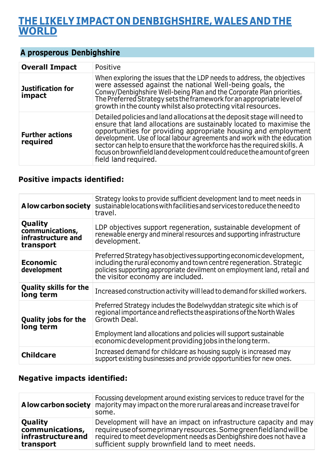## **THE LIKELY IMPACT ON DENBIGHSHIRE, WALES AND THE WORLD**

#### **A prosperous Denbighshire**

| <b>Overall Impact</b>              | Positive                                                                                                                                                                                                                                                                                                                                                                                                                                                                  |
|------------------------------------|---------------------------------------------------------------------------------------------------------------------------------------------------------------------------------------------------------------------------------------------------------------------------------------------------------------------------------------------------------------------------------------------------------------------------------------------------------------------------|
| <b>Justification for</b><br>impact | When exploring the issues that the LDP needs to address, the objectives<br>were assessed against the national Well-being goals, the<br>Conwy/Denbighshire Well-being Plan and the Corporate Plan priorities.<br>The Preferred Strategy sets the framework for an appropriate level of<br>growth in the county whilst also protecting vital resources.                                                                                                                     |
| <b>Further actions</b><br>required | Detailed policies and land allocations at the deposit stage will need to<br>ensure that land allocations are sustainably located to maximise the<br>opportunities for providing appropriate housing and employment<br>development. Use of local labour agreements and work with the education<br>sector can help to ensure that the workforce has the required skills. A<br>focus on brownfield land development could reduce the amount of green<br>field land required. |

#### **Positive impacts identified:**

| A low carbon society                                          | Strategy looks to provide sufficient development land to meet needs in<br>sustainable locations with facilities and services to reduce the need to<br>travel.                                                                                                                               |
|---------------------------------------------------------------|---------------------------------------------------------------------------------------------------------------------------------------------------------------------------------------------------------------------------------------------------------------------------------------------|
| Quality<br>communications,<br>infrastructure and<br>transport | LDP objectives support regeneration, sustainable development of<br>renewable energy and mineral resources and supporting infrastructure<br>development.                                                                                                                                     |
| <b>Economic</b><br>development                                | Preferred Strategy has objectives supporting economic development,<br>including the rural economy and town centre regeneration. Strategic<br>policies supporting appropriate devilment on employment land, retail and<br>the visitor economy are included.                                  |
| <b>Quality skills for the</b><br>long term                    | Increased construction activity will lead to demand for skilled workers.                                                                                                                                                                                                                    |
| <b>Quality jobs for the</b><br>long term                      | Preferred Strategy includes the Bodelwyddan strategic site which is of<br>regional importance and reflects the aspirations of the North Wales<br>Growth Deal.<br>Employment land allocations and policies will support sustainable<br>economic development providing jobs in the long term. |
| <b>Childcare</b>                                              | Increased demand for childcare as housing supply is increased may<br>support existing businesses and provide opportunities for new ones.                                                                                                                                                    |

#### **Negative impacts identified:**

|                    | Focussing development around existing services to reduce travel for the<br><b>A low carbon society</b> majority may impact on the more rural areas and increase travel for<br>some. |
|--------------------|-------------------------------------------------------------------------------------------------------------------------------------------------------------------------------------|
| <b>Quality</b>     | Development will have an impact on infrastructure capacity and may                                                                                                                  |
| communications,    | require use of some primary resources. Some green field land will be                                                                                                                |
| infrastructure and | required to meet development needs as Denbighshire does not have a                                                                                                                  |
| transport          | sufficient supply brownfield land to meet needs.                                                                                                                                    |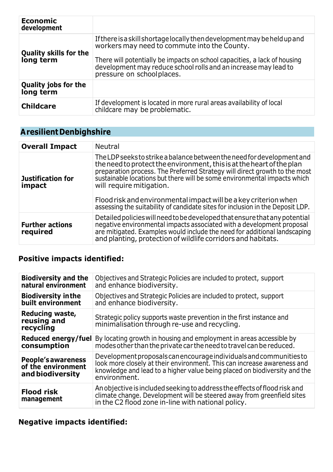| <b>Economic</b><br>development             |                                                                                                                                                                                                                                                                                                       |
|--------------------------------------------|-------------------------------------------------------------------------------------------------------------------------------------------------------------------------------------------------------------------------------------------------------------------------------------------------------|
| <b>Quality skills for the</b><br>long term | If there is a skill shortage locally then development may be held up and<br>workers may need to commute into the County.<br>There will potentially be impacts on school capacities, a lack of housing<br>development may reduce school rolls and an increase may lead to<br>pressure on schoolplaces. |
| <b>Quality jobs for the</b><br>long term   |                                                                                                                                                                                                                                                                                                       |
| <b>Childcare</b>                           | If development is located in more rural areas availability of local<br>childcare may be problematic.                                                                                                                                                                                                  |

# **A resilient Denbighshire**

| <b>Overall Impact</b>              | <b>Neutral</b>                                                                                                                                                                                                                                                                                                                                                                                                                                                                              |
|------------------------------------|---------------------------------------------------------------------------------------------------------------------------------------------------------------------------------------------------------------------------------------------------------------------------------------------------------------------------------------------------------------------------------------------------------------------------------------------------------------------------------------------|
| Justification for<br>impact        | The LDP seeks to strike a balance between the need for development and<br>the need to protect the environment, this is at the heart of the plan<br>preparation process. The Preferred Strategy will direct growth to the most<br>sustainable locations but there will be some environmental impacts which<br>will require mitigation.<br>Flood risk and environmental impact will be a key criterion when<br>assessing the suitability of candidate sites for inclusion in the Deposit LDP. |
| <b>Further actions</b><br>required | Detailed policies will need to be developed that ensure that any potential<br>negative environmental impacts associated with a development proposal<br>are mitigated. Examples would include the need for additional landscaping<br>and planting, protection of wildlife corridors and habitats.                                                                                                                                                                                            |

## **Positive impacts identified:**

| <b>Biodiversity and the</b><br>natural environment                  | Objectives and Strategic Policies are included to protect, support<br>and enhance biodiversity.                                                                                                                                            |
|---------------------------------------------------------------------|--------------------------------------------------------------------------------------------------------------------------------------------------------------------------------------------------------------------------------------------|
| <b>Biodiversity in the</b><br>built environment                     | Objectives and Strategic Policies are included to protect, support<br>and enhance biodiversity.                                                                                                                                            |
| Reducing waste,<br>reusing and<br>recycling                         | Strategic policy supports waste prevention in the first instance and<br>minimalisation through re-use and recycling.                                                                                                                       |
| consumption                                                         | <b>Reduced energy/fuel</b> By locating growth in housing and employment in areas accessible by<br>modes other than the private car the need to travel can be reduced.                                                                      |
| <b>People's awareness</b><br>of the environment<br>and biodiversity | Development proposals can encourage individuals and communities to<br>look more closely at their environment. This can increase awareness and<br>knowledge and lead to a higher value being placed on biodiversity and the<br>environment. |
| <b>Flood risk</b><br>management                                     | An objective is included seeking to address the effects of flood risk and<br>climate change. Development will be steered away from greenfield sites<br>in the C2 flood zone in-line with national policy.                                  |

## **Negative impacts identified:**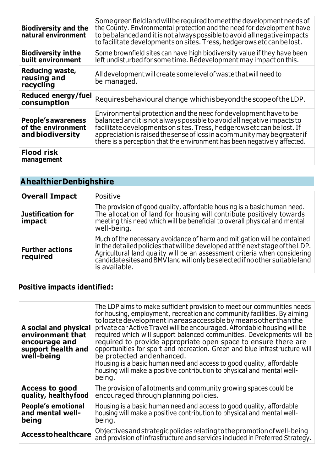| <b>Biodiversity and the</b><br>natural environment                  | Some green field land will be required to meet the development needs of<br>the County. Environmental protection and the need for development have<br>to be balanced and it is not always possible to avoid all negative impacts<br>to facilitate developments on sites. Tress, hedgerows etc can be lost.                                                                      |
|---------------------------------------------------------------------|--------------------------------------------------------------------------------------------------------------------------------------------------------------------------------------------------------------------------------------------------------------------------------------------------------------------------------------------------------------------------------|
| <b>Biodiversity in the</b><br>built environment                     | Some brownfield sites can have high biodiversity value if they have been<br>left undisturbed for some time. Redevelopment may impact on this.                                                                                                                                                                                                                                  |
| Reducing waste,<br>reusing and<br>recycling                         | All development will create some level of waste that will need to<br>be managed.                                                                                                                                                                                                                                                                                               |
|                                                                     |                                                                                                                                                                                                                                                                                                                                                                                |
| Reduced energy/fuel<br>consumption                                  | Requires behavioural change which is beyond the scope of the LDP.                                                                                                                                                                                                                                                                                                              |
| <b>People's awareness</b><br>of the environment<br>and biodiversity | Environmental protection and the need for development have to be<br>balanced and it is not always possible to avoid all negative impacts to<br>facilitate developments on sites. Tress, hedgerows etc can be lost. If<br>appreciation is raised the sense of loss in a community may be greater if<br>there is a perception that the environment has been negatively affected. |

# **A healthierDenbighshire**

| <b>Overall Impact</b>              | Positive                                                                                                                                                                                                                                                                                                                                |
|------------------------------------|-----------------------------------------------------------------------------------------------------------------------------------------------------------------------------------------------------------------------------------------------------------------------------------------------------------------------------------------|
| <b>Justification for</b><br>impact | The provision of good quality, affordable housing is a basic human need.<br>The allocation of land for housing will contribute positively towards<br>meeting this need which will be beneficial to overall physical and mental<br>well-being.                                                                                           |
| <b>Further actions</b><br>required | Much of the necessary avoidance of harm and mitigation will be contained<br>in the detailed policies that will be developed at the next stage of the LDP.<br>Agricultural land quality will be an assessment criteria when considering<br>candidate sites and BMV land will only be selected if no other suitable land<br>is available. |

## **Positive impacts identified:**

| A social and physical<br>environment that<br>encourage and<br>support health and<br>well-being | The LDP aims to make sufficient provision to meet our communities needs<br>for housing, employment, recreation and community facilities. By aiming<br>to locate development in areas accessible by means other than the<br>private car Active Travel will be encouraged. Affordable housing will be<br>required which will support balanced communities. Developments will be<br>required to provide appropriate open space to ensure there are<br>opportunities for sport and recreation. Green and blue infrastructure will<br>be protected and enhanced.<br>Housing is a basic human need and access to good quality, affordable<br>housing will make a positive contribution to physical and mental well-<br>being. |
|------------------------------------------------------------------------------------------------|-------------------------------------------------------------------------------------------------------------------------------------------------------------------------------------------------------------------------------------------------------------------------------------------------------------------------------------------------------------------------------------------------------------------------------------------------------------------------------------------------------------------------------------------------------------------------------------------------------------------------------------------------------------------------------------------------------------------------|
| <b>Access to good</b>                                                                          | The provision of allotments and community growing spaces could be                                                                                                                                                                                                                                                                                                                                                                                                                                                                                                                                                                                                                                                       |
| quality, healthyfood                                                                           | encouraged through planning policies.                                                                                                                                                                                                                                                                                                                                                                                                                                                                                                                                                                                                                                                                                   |
| <b>People's emotional</b>                                                                      | Housing is a basic human need and access to good quality, affordable                                                                                                                                                                                                                                                                                                                                                                                                                                                                                                                                                                                                                                                    |
| and mental well-                                                                               | housing will make a positive contribution to physical and mental well-                                                                                                                                                                                                                                                                                                                                                                                                                                                                                                                                                                                                                                                  |
| being                                                                                          | being.                                                                                                                                                                                                                                                                                                                                                                                                                                                                                                                                                                                                                                                                                                                  |
| <b>Access to healthcare</b>                                                                    | Objectives and strategic policies relating to the promotion of well-being<br>and provision of infrastructure and services included in Preferred Strategy.                                                                                                                                                                                                                                                                                                                                                                                                                                                                                                                                                               |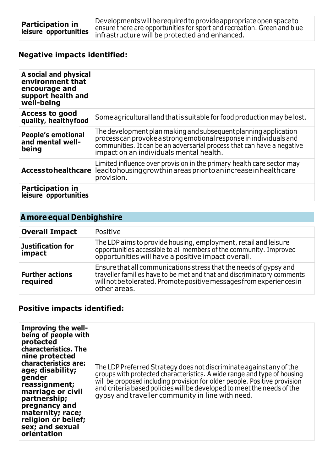## **Negative impacts identified:**

| A social and physical<br>environment that<br>encourage and<br>support health and<br>well-being |                                                                                                                                                                                                                                                            |
|------------------------------------------------------------------------------------------------|------------------------------------------------------------------------------------------------------------------------------------------------------------------------------------------------------------------------------------------------------------|
| Access to good<br>quality, healthyfood                                                         | Some agricultural land that is suitable for food production may be lost.                                                                                                                                                                                   |
| <b>People's emotional</b><br>and mental well-<br>being                                         | The development plan making and subsequent planning application<br>process can provoke a strong emotional response in individuals and<br>communities. It can be an adversarial process that can have a negative<br>impact on an individuals mental health. |
| Access to healthcare                                                                           | Limited influence over provision in the primary health care sector may<br>lead to housing growth in areas prior to an increase in health care<br>provision.                                                                                                |
| <b>Participation in</b><br>leisure opportunities                                               |                                                                                                                                                                                                                                                            |

## **A more equal Denbighshire**

| <b>Overall Impact</b>              | Positive                                                                                                                                                                                                                            |
|------------------------------------|-------------------------------------------------------------------------------------------------------------------------------------------------------------------------------------------------------------------------------------|
| <b>Justification for</b><br>impact | The LDP aims to provide housing, employment, retail and leisure<br>opportunities accessible to all members of the community. Improved<br>opportunities will have a positive impact overall.                                         |
| <b>Further actions</b><br>required | Ensure that all communications stress that the needs of gypsy and<br>traveller families have to be met and that and discriminatory comments<br>will not be tolerated. Promote positive messages from experiences in<br>other areas. |

#### **Positive impacts identified:**

| Improving the well-<br>being of people with<br>protected<br><b>characteristics. The</b><br>nine protected<br>characteristics are:<br>age; disability;<br>gender<br>reassignment;<br>marriage or civil<br>partnership;<br>pregnancy and<br>maternity; race;<br>religion or belief;<br>sex; and sexual<br>orientation | The LDP Preferred Strategy does not discriminate against any of the<br>groups with protected characteristics. A wide range and type of housing<br>will be proposed including provision for older people. Positive provision<br>and criteria based policies will be developed to meet the needs of the<br>gypsy and traveller community in line with need. |
|---------------------------------------------------------------------------------------------------------------------------------------------------------------------------------------------------------------------------------------------------------------------------------------------------------------------|-----------------------------------------------------------------------------------------------------------------------------------------------------------------------------------------------------------------------------------------------------------------------------------------------------------------------------------------------------------|
|---------------------------------------------------------------------------------------------------------------------------------------------------------------------------------------------------------------------------------------------------------------------------------------------------------------------|-----------------------------------------------------------------------------------------------------------------------------------------------------------------------------------------------------------------------------------------------------------------------------------------------------------------------------------------------------------|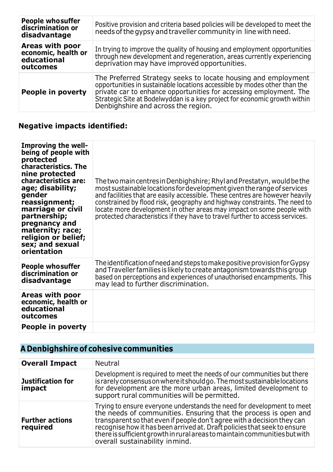| <b>People who suffer</b><br>discrimination or<br>disadvantage     | Positive provision and criteria based policies will be developed to meet the<br>needs of the gypsy and traveller community in line with need.                                                                                                                                                                                        |
|-------------------------------------------------------------------|--------------------------------------------------------------------------------------------------------------------------------------------------------------------------------------------------------------------------------------------------------------------------------------------------------------------------------------|
| Areas with poor<br>economic, health or<br>educational<br>outcomes | In trying to improve the quality of housing and employment opportunities<br>through new development and regeneration, areas currently experiencing<br>deprivation may have improved opportunities.                                                                                                                                   |
| People in poverty                                                 | The Preferred Strategy seeks to locate housing and employment<br>opportunities in sustainable locations accessible by modes other than the<br>private car to enhance opportunities for accessing employment. The<br>Strategic Site at Bodelwyddan is a key project for economic growth within<br>Denbighshire and across the region. |

## **Negative impacts identified:**

| <b>Improving the well-</b><br>being of people with<br>protected<br>characteristics. The<br>nine protected<br>characteristics are:<br>age; disability;<br>gender<br>reassignment;<br>marriage or civil<br>partnership;<br>pregnancy and<br>maternity; race;<br>religion or belief;<br>sex; and sexual<br>orientation | The two main centres in Denbighshire; Rhyl and Prestatyn, would be the<br>most sustainable locations for development given the range of services<br>and facilities that are easily accessible. These centres are however heavily<br>constrained by flood risk, geography and highway constraints. The need to<br>locate more development in other areas may impact on some people with<br>protected characteristics if they have to travel further to access services. |
|---------------------------------------------------------------------------------------------------------------------------------------------------------------------------------------------------------------------------------------------------------------------------------------------------------------------|------------------------------------------------------------------------------------------------------------------------------------------------------------------------------------------------------------------------------------------------------------------------------------------------------------------------------------------------------------------------------------------------------------------------------------------------------------------------|
| <b>People who suffer</b><br>discrimination or<br>disadvantage                                                                                                                                                                                                                                                       | The identification of need and steps to make positive provision for Gypsy<br>and Traveller families is likely to create antagonism towards this group<br>based on perceptions and experiences of unauthorised encampments. This<br>may lead to further discrimination.                                                                                                                                                                                                 |
| Areas with poor<br>economic, health or<br>educational<br>outcomes                                                                                                                                                                                                                                                   |                                                                                                                                                                                                                                                                                                                                                                                                                                                                        |
| People in poverty                                                                                                                                                                                                                                                                                                   |                                                                                                                                                                                                                                                                                                                                                                                                                                                                        |

# **A Denbighshire of cohesive communities**

| <b>Overall Impact</b>              | Neutral                                                                                                                                                                                                                                                                                                                                                                                                          |
|------------------------------------|------------------------------------------------------------------------------------------------------------------------------------------------------------------------------------------------------------------------------------------------------------------------------------------------------------------------------------------------------------------------------------------------------------------|
| Justification for<br>impact        | Development is required to meet the needs of our communities but there<br>is rarely consensus on where it should go. The most sustainable locations<br>for development are the more urban areas, limited development to<br>support rural communities will be permitted.                                                                                                                                          |
| <b>Further actions</b><br>required | Trying to ensure everyone understands the need for development to meet<br>the needs of communities. Ensuring that the process is open and<br>transparent so that even if people don't agree with a decision they can<br>recognise how it has been arrived at. Draft policies that seek to ensure<br>there is sufficient growth in rural areas to maintain communities but with<br>overall sustainability inmind. |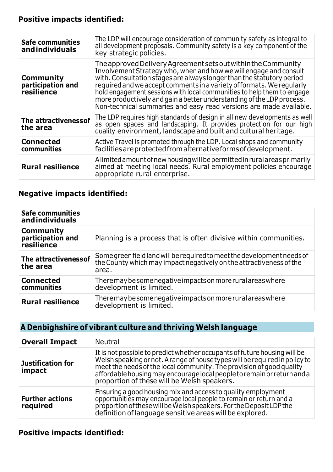#### **Positive impacts identified:**

| <b>Safe communities</b><br>andindividuals           | The LDP will encourage consideration of community safety as integral to<br>all development proposals. Community safety is a key component of the<br>key strategic policies.                                                                                                                                                                                                                                                                                                                                   |
|-----------------------------------------------------|---------------------------------------------------------------------------------------------------------------------------------------------------------------------------------------------------------------------------------------------------------------------------------------------------------------------------------------------------------------------------------------------------------------------------------------------------------------------------------------------------------------|
| <b>Community</b><br>participation and<br>resilience | The approved Delivery Agreement sets out within the Community<br>Involvement Strategy who, when and how we will engage and consult<br>with. Consultation stages are always longer than the statutory period<br>required and we accept comments in a variety of formats. We reqularly<br>hold engagement sessions with local communities to help them to engage<br>more productively and gain a better understanding of the LDP process.<br>Non-technical summaries and easy read versions are made available. |
| The attractiveness of<br>the area                   | The LDP requires high standards of design in all new developments as well<br>as open spaces and landscaping. It provides protection for our high<br>quality environment, landscape and built and cultural heritage.                                                                                                                                                                                                                                                                                           |
| <b>Connected</b><br>communities                     | Active Travel is promoted through the LDP. Local shops and community<br>facilities are protected from alternative forms of development.                                                                                                                                                                                                                                                                                                                                                                       |
| <b>Rural resilience</b>                             | A limited amount of new housing will be permitted in rural areas primarily<br>aimed at meeting local needs. Rural employment policies encourage<br>appropriate rural enterprise.                                                                                                                                                                                                                                                                                                                              |

#### **Negative impacts identified:**

| <b>Safe communities</b><br>andindividuals                  |                                                                                                                                                         |
|------------------------------------------------------------|---------------------------------------------------------------------------------------------------------------------------------------------------------|
| <b>Community</b><br>participation and<br><i>resilience</i> | Planning is a process that is often divisive within communities.                                                                                        |
| The attractiveness of<br>the area                          | Some green field land will be required to meet the development needs of<br>the County which may impact negatively on the attractiveness of the<br>area. |
| <b>Connected</b><br>communities                            | There may be some negative impacts on more rural areas where<br>development is limited.                                                                 |
| <b>Rural resilience</b>                                    | There may be some negative impacts on more rural areas where<br>development is limited.                                                                 |

## **A Denbighshire of vibrant culture and thriving Welsh language**

| <b>Overall Impact</b>              | <b>Neutral</b>                                                                                                                                                                                                                                                                                                                                             |
|------------------------------------|------------------------------------------------------------------------------------------------------------------------------------------------------------------------------------------------------------------------------------------------------------------------------------------------------------------------------------------------------------|
| <b>Justification for</b><br>impact | It is not possible to predict whether occupants of future housing will be<br>Welsh speaking or not. A range of house types will be required in policy to<br>meet the needs of the local community. The provision of good quality<br>affordable housing may encourage local people to remain or return and a<br>proportion of these will be Welsh speakers. |
| <b>Further actions</b><br>required | Ensuring a good housing mix and access to quality employment<br>opportunities may encourage local people to remain or return and a<br>proportion of these will be Welsh speakers. For the Deposit LDP the<br>definition of language sensitive areas will be explored.                                                                                      |

#### **Positive impacts identified:**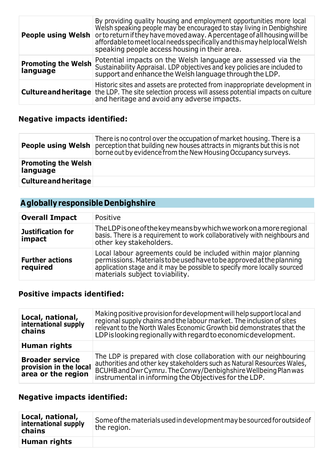| <b>People using Welsh</b>              | By providing quality housing and employment opportunities more local<br>Welsh speaking people may be encouraged to stay living in Denbighshire<br>or to return if they have moved away. A percentage of all housing will be<br>affordable to meet local needs specifically and this may help local Welsh<br>speaking people access housing in their area. |
|----------------------------------------|-----------------------------------------------------------------------------------------------------------------------------------------------------------------------------------------------------------------------------------------------------------------------------------------------------------------------------------------------------------|
| <b>Promoting the Welsh</b><br>language | Potential impacts on the Welsh language are assessed via the<br>Sustainability Appraisal. LDP objectives and key policies are included to<br>support and enhance the Welsh language through the LDP.                                                                                                                                                      |
|                                        | Historic sites and assets are protected from inappropriate development in<br><b>Culture and heritage</b> the LDP. The site selection process will assess potential impacts on culture<br>and heritage and avoid any adverse impacts.                                                                                                                      |

#### **Negative impacts identified:**

|                                        | There is no control over the occupation of market housing. There is a<br><b>People using Welsh</b> perception that building new houses attracts in migrants but this is not<br>borne out by evidence from the New Housing Occupancy surveys. |
|----------------------------------------|----------------------------------------------------------------------------------------------------------------------------------------------------------------------------------------------------------------------------------------------|
| <b>Promoting the Welsh</b><br>language |                                                                                                                                                                                                                                              |
| <b>Culture and heritage</b>            |                                                                                                                                                                                                                                              |

## **A globallyresponsible Denbighshire**

| <b>Overall Impact</b>              | Positive                                                                                                                                                                                                                                                |
|------------------------------------|---------------------------------------------------------------------------------------------------------------------------------------------------------------------------------------------------------------------------------------------------------|
| <b>Justification for</b><br>impact | The LDP is one of the key means by which we work on a more regional<br>basis. There is a requirement to work collaboratively with neighbours and<br>other key stakeholders.                                                                             |
| <b>Further actions</b><br>required | Local labour agreements could be included within major planning<br>permissions. Materials to be used have to be approved at the planning<br>application stage and it may be possible to specify more locally sourced<br>materials subject to viability. |

#### **Positive impacts identified:**

| Local, national,<br>international supply<br>chains                     | Making positive provision for development will help support local and<br>regional supply chains and the labour market. The inclusion of sites<br>relevant to the North Wales Economic Growth bid demonstrates that the<br>LDP is looking regionally with regard to economic development. |
|------------------------------------------------------------------------|------------------------------------------------------------------------------------------------------------------------------------------------------------------------------------------------------------------------------------------------------------------------------------------|
| Human rights                                                           |                                                                                                                                                                                                                                                                                          |
| <b>Broader service</b><br>provision in the local<br>area or the region | The LDP is prepared with close collaboration with our neighbouring<br>authorities and other key stakeholders such as Natural Resources Wales,<br>BCUHB and Dwr Cymru. The Conwy/Denbighshire Wellbeing Plan was<br>instrumental in informing the Objectives for the LDP.                 |

#### **Negative impacts identified:**

| Local, national,<br>international supply<br>chains | Some of the materials used in development may be sourced for outside of<br>the region. |
|----------------------------------------------------|----------------------------------------------------------------------------------------|
| Human rights                                       |                                                                                        |